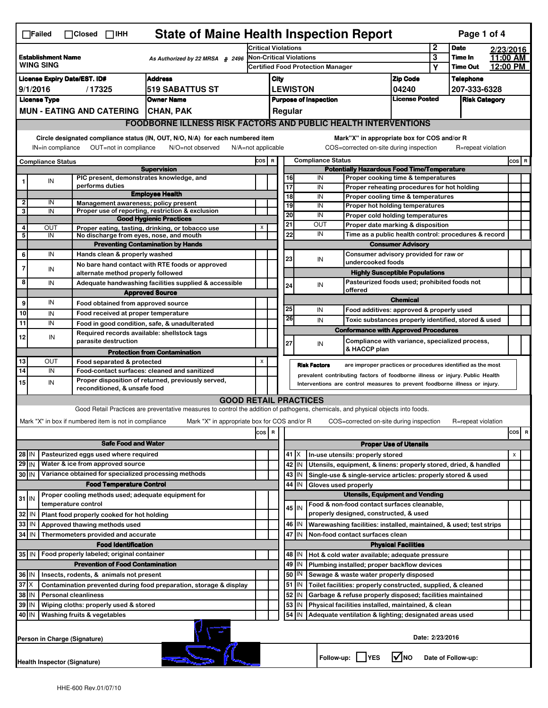|                                                                           | <b>State of Maine Health Inspection Report</b><br>Page 1 of 4<br>$\Box$ Failed<br>$\Box$ Closed $\Box$ IHH                                                                              |                                                                                                                                                                                                                  |                                                                                                                                                                   |                          |                                                                                                                             |                                                                               |                                                  |                  |                                                                                                        |                                       |                      |  |  |         |
|---------------------------------------------------------------------------|-----------------------------------------------------------------------------------------------------------------------------------------------------------------------------------------|------------------------------------------------------------------------------------------------------------------------------------------------------------------------------------------------------------------|-------------------------------------------------------------------------------------------------------------------------------------------------------------------|--------------------------|-----------------------------------------------------------------------------------------------------------------------------|-------------------------------------------------------------------------------|--------------------------------------------------|------------------|--------------------------------------------------------------------------------------------------------|---------------------------------------|----------------------|--|--|---------|
| Establishment Name<br>As Authorized by 22 MRSA § 2496<br><b>WING SING</b> |                                                                                                                                                                                         |                                                                                                                                                                                                                  | <b>Critical Violations</b><br>Non-Critical Violations<br><b>Certified Food Protection Manager</b>                                                                 |                          |                                                                                                                             |                                                                               |                                                  | 2<br><b>Date</b> |                                                                                                        | 2/23/2016                             |                      |  |  |         |
|                                                                           |                                                                                                                                                                                         |                                                                                                                                                                                                                  |                                                                                                                                                                   |                          |                                                                                                                             |                                                                               |                                                  |                  | 3<br>Υ                                                                                                 | Time In<br><b>Time Out</b>            | 11:00 AM<br>12:00 PM |  |  |         |
| <b>Address</b><br><b>License Expiry Date/EST. ID#</b>                     |                                                                                                                                                                                         |                                                                                                                                                                                                                  |                                                                                                                                                                   | City                     |                                                                                                                             |                                                                               |                                                  |                  | <b>Zip Code</b>                                                                                        |                                       | <b>Telephone</b>     |  |  |         |
| 9/1/2016<br>/17325<br>519 SABATTUS ST                                     |                                                                                                                                                                                         |                                                                                                                                                                                                                  |                                                                                                                                                                   | <b>LEWISTON</b><br>04240 |                                                                                                                             |                                                                               |                                                  |                  | 207-333-6328                                                                                           |                                       |                      |  |  |         |
| <b>License Type</b><br><b>Owner Name</b>                                  |                                                                                                                                                                                         |                                                                                                                                                                                                                  |                                                                                                                                                                   |                          |                                                                                                                             |                                                                               | <b>Purpose of Inspection</b>                     |                  | <b>License Posted</b>                                                                                  |                                       | <b>Risk Category</b> |  |  |         |
| <b>MUN - EATING AND CATERING</b><br><b>CHAN, PAK</b>                      |                                                                                                                                                                                         |                                                                                                                                                                                                                  |                                                                                                                                                                   |                          |                                                                                                                             | Regular                                                                       |                                                  |                  |                                                                                                        |                                       |                      |  |  |         |
|                                                                           | <b>FOODBORNE ILLNESS RISK FACTORS AND PUBLIC HEALTH INTERVENTIONS</b>                                                                                                                   |                                                                                                                                                                                                                  |                                                                                                                                                                   |                          |                                                                                                                             |                                                                               |                                                  |                  |                                                                                                        |                                       |                      |  |  |         |
|                                                                           | Circle designated compliance status (IN, OUT, N/O, N/A) for each numbered item<br>Mark"X" in appropriate box for COS and/or R                                                           |                                                                                                                                                                                                                  |                                                                                                                                                                   |                          |                                                                                                                             |                                                                               |                                                  |                  |                                                                                                        |                                       |                      |  |  |         |
|                                                                           | IN=in compliance<br>OUT=not in compliance<br>COS=corrected on-site during inspection<br>N/O=not observed<br>$N/A = not$ applicable<br>R=repeat violation                                |                                                                                                                                                                                                                  |                                                                                                                                                                   |                          |                                                                                                                             |                                                                               |                                                  |                  |                                                                                                        |                                       |                      |  |  |         |
|                                                                           |                                                                                                                                                                                         |                                                                                                                                                                                                                  |                                                                                                                                                                   |                          |                                                                                                                             |                                                                               | <b>Compliance Status</b><br>cos  <br>$\mathbf R$ |                  |                                                                                                        |                                       |                      |  |  | $cos$ R |
| <b>Compliance Status</b><br><b>Supervision</b>                            |                                                                                                                                                                                         |                                                                                                                                                                                                                  |                                                                                                                                                                   |                          | <b>Potentially Hazardous Food Time/Temperature</b>                                                                          |                                                                               |                                                  |                  |                                                                                                        |                                       |                      |  |  |         |
|                                                                           | IN                                                                                                                                                                                      | performs duties                                                                                                                                                                                                  | PIC present, demonstrates knowledge, and                                                                                                                          |                          |                                                                                                                             | 17                                                                            | 16                                               | IN<br>IN         | Proper cooking time & temperatures<br>Proper reheating procedures for hot holding                      |                                       |                      |  |  |         |
|                                                                           |                                                                                                                                                                                         |                                                                                                                                                                                                                  | <b>Employee Health</b>                                                                                                                                            |                          |                                                                                                                             |                                                                               | 18                                               | IN               | Proper cooling time & temperatures                                                                     |                                       |                      |  |  |         |
| $\boldsymbol{2}$<br>3                                                     | IN                                                                                                                                                                                      |                                                                                                                                                                                                                  | Management awareness; policy present                                                                                                                              |                          |                                                                                                                             |                                                                               | 19                                               | IN               | Proper hot holding temperatures                                                                        |                                       |                      |  |  |         |
|                                                                           | IN                                                                                                                                                                                      |                                                                                                                                                                                                                  | Proper use of reporting, restriction & exclusion<br><b>Good Hygienic Practices</b>                                                                                |                          |                                                                                                                             |                                                                               | 20                                               | IN               | Proper cold holding temperatures                                                                       |                                       |                      |  |  |         |
| 4                                                                         | OUT                                                                                                                                                                                     |                                                                                                                                                                                                                  | Proper eating, tasting, drinking, or tobacco use                                                                                                                  | X                        |                                                                                                                             | $\overline{21}$                                                               |                                                  | <b>OUT</b><br>IN | Proper date marking & disposition                                                                      |                                       |                      |  |  |         |
| $\overline{\mathbf{5}}$                                                   | IN                                                                                                                                                                                      |                                                                                                                                                                                                                  | No discharge from eyes, nose, and mouth<br><b>Preventing Contamination by Hands</b>                                                                               |                          |                                                                                                                             |                                                                               | 22                                               |                  | Time as a public health control: procedures & record                                                   | <b>Consumer Advisory</b>              |                      |  |  |         |
| 6                                                                         | IN                                                                                                                                                                                      | Hands clean & properly washed                                                                                                                                                                                    |                                                                                                                                                                   |                          |                                                                                                                             |                                                                               |                                                  |                  | Consumer advisory provided for raw or                                                                  |                                       |                      |  |  |         |
| 7                                                                         |                                                                                                                                                                                         |                                                                                                                                                                                                                  | No bare hand contact with RTE foods or approved                                                                                                                   |                          |                                                                                                                             |                                                                               | 23                                               | IN               | undercooked foods                                                                                      |                                       |                      |  |  |         |
|                                                                           | IN                                                                                                                                                                                      | alternate method properly followed                                                                                                                                                                               |                                                                                                                                                                   |                          |                                                                                                                             |                                                                               |                                                  |                  |                                                                                                        | <b>Highly Susceptible Populations</b> |                      |  |  |         |
| 8                                                                         | IN                                                                                                                                                                                      |                                                                                                                                                                                                                  | Adequate handwashing facilities supplied & accessible                                                                                                             |                          |                                                                                                                             | 24                                                                            |                                                  | IN               | Pasteurized foods used; prohibited foods not<br>offered                                                |                                       |                      |  |  |         |
| 9                                                                         | IN                                                                                                                                                                                      | Food obtained from approved source                                                                                                                                                                               | <b>Approved Source</b>                                                                                                                                            |                          |                                                                                                                             |                                                                               |                                                  |                  |                                                                                                        | <b>Chemical</b>                       |                      |  |  |         |
| 10                                                                        | IN                                                                                                                                                                                      | Food received at proper temperature                                                                                                                                                                              |                                                                                                                                                                   |                          |                                                                                                                             | 25                                                                            |                                                  | IN               | Food additives: approved & properly used                                                               |                                       |                      |  |  |         |
| 11                                                                        | IN                                                                                                                                                                                      |                                                                                                                                                                                                                  | Food in good condition, safe, & unadulterated                                                                                                                     |                          |                                                                                                                             |                                                                               | 26                                               | IN               | Toxic substances properly identified, stored & used                                                    |                                       |                      |  |  |         |
| 12                                                                        | IN                                                                                                                                                                                      |                                                                                                                                                                                                                  | Required records available: shellstock tags                                                                                                                       |                          |                                                                                                                             |                                                                               |                                                  |                  | <b>Conformance with Approved Procedures</b>                                                            |                                       |                      |  |  |         |
|                                                                           |                                                                                                                                                                                         | parasite destruction                                                                                                                                                                                             |                                                                                                                                                                   |                          |                                                                                                                             | 27                                                                            |                                                  | IN               | Compliance with variance, specialized process,<br>& HACCP plan                                         |                                       |                      |  |  |         |
| 13                                                                        | OUT                                                                                                                                                                                     |                                                                                                                                                                                                                  | <b>Protection from Contamination</b>                                                                                                                              | X                        |                                                                                                                             |                                                                               |                                                  |                  |                                                                                                        |                                       |                      |  |  |         |
| 14                                                                        | IN                                                                                                                                                                                      |                                                                                                                                                                                                                  | Food separated & protected<br><b>Risk Factors</b><br>are improper practices or procedures identified as the most<br>Food-contact surfaces: cleaned and sanitized  |                          |                                                                                                                             |                                                                               |                                                  |                  |                                                                                                        |                                       |                      |  |  |         |
| 15                                                                        | IN                                                                                                                                                                                      | prevalent contributing factors of foodborne illness or injury. Public Health<br>Proper disposition of returned, previously served,<br>Interventions are control measures to prevent foodborne illness or injury. |                                                                                                                                                                   |                          |                                                                                                                             |                                                                               |                                                  |                  |                                                                                                        |                                       |                      |  |  |         |
|                                                                           |                                                                                                                                                                                         | reconditioned, & unsafe food                                                                                                                                                                                     |                                                                                                                                                                   |                          |                                                                                                                             |                                                                               |                                                  |                  |                                                                                                        |                                       |                      |  |  |         |
|                                                                           |                                                                                                                                                                                         |                                                                                                                                                                                                                  | <b>GOOD RETAIL PRACTICES</b><br>Good Retail Practices are preventative measures to control the addition of pathogens, chemicals, and physical objects into foods. |                          |                                                                                                                             |                                                                               |                                                  |                  |                                                                                                        |                                       |                      |  |  |         |
|                                                                           |                                                                                                                                                                                         |                                                                                                                                                                                                                  |                                                                                                                                                                   |                          |                                                                                                                             |                                                                               |                                                  |                  |                                                                                                        |                                       |                      |  |  |         |
|                                                                           | Mark "X" in box if numbered item is not in compliance<br>Mark "X" in appropriate box for COS and/or R<br>R=repeat violation<br>COS=corrected on-site during inspection<br>cos<br>R<br>R |                                                                                                                                                                                                                  |                                                                                                                                                                   |                          |                                                                                                                             |                                                                               |                                                  |                  |                                                                                                        |                                       |                      |  |  |         |
| cos<br><b>Safe Food and Water</b><br><b>Proper Use of Utensils</b>        |                                                                                                                                                                                         |                                                                                                                                                                                                                  |                                                                                                                                                                   |                          |                                                                                                                             |                                                                               |                                                  |                  |                                                                                                        |                                       |                      |  |  |         |
| 28 IN<br>Pasteurized eggs used where required                             |                                                                                                                                                                                         |                                                                                                                                                                                                                  |                                                                                                                                                                   |                          | 41<br>ΙX<br>In-use utensils: properly stored                                                                                |                                                                               |                                                  |                  |                                                                                                        |                                       | $\pmb{\times}$       |  |  |         |
| $29$ IN                                                                   |                                                                                                                                                                                         | Water & ice from approved source                                                                                                                                                                                 |                                                                                                                                                                   |                          |                                                                                                                             |                                                                               | 42 IN                                            |                  | Utensils, equipment, & linens: properly stored, dried, & handled                                       |                                       |                      |  |  |         |
| 30 IN                                                                     |                                                                                                                                                                                         | Variance obtained for specialized processing methods                                                                                                                                                             |                                                                                                                                                                   |                          |                                                                                                                             |                                                                               | $43$ IN                                          |                  | Single-use & single-service articles: properly stored & used                                           |                                       |                      |  |  |         |
|                                                                           |                                                                                                                                                                                         | <b>Food Temperature Control</b>                                                                                                                                                                                  |                                                                                                                                                                   |                          |                                                                                                                             | 44<br>IN<br>Gloves used properly                                              |                                                  |                  |                                                                                                        |                                       |                      |  |  |         |
| $31$ IN                                                                   |                                                                                                                                                                                         | Proper cooling methods used; adequate equipment for                                                                                                                                                              |                                                                                                                                                                   |                          |                                                                                                                             |                                                                               |                                                  |                  | <b>Utensils, Equipment and Vending</b>                                                                 |                                       |                      |  |  |         |
| 32                                                                        | IN                                                                                                                                                                                      | temperature control<br>Plant food properly cooked for hot holding                                                                                                                                                |                                                                                                                                                                   |                          |                                                                                                                             |                                                                               | 45 I IN                                          |                  | Food & non-food contact surfaces cleanable,<br>properly designed, constructed, & used                  |                                       |                      |  |  |         |
|                                                                           | 33 IN<br>Approved thawing methods used                                                                                                                                                  |                                                                                                                                                                                                                  |                                                                                                                                                                   |                          |                                                                                                                             | 46   IN<br>Warewashing facilities: installed, maintained, & used; test strips |                                                  |                  |                                                                                                        |                                       |                      |  |  |         |
| 34 IN                                                                     |                                                                                                                                                                                         | Thermometers provided and accurate                                                                                                                                                                               |                                                                                                                                                                   |                          |                                                                                                                             | IN<br>47<br>Non-food contact surfaces clean                                   |                                                  |                  |                                                                                                        |                                       |                      |  |  |         |
|                                                                           | <b>Food Identification</b><br><b>Physical Facilities</b>                                                                                                                                |                                                                                                                                                                                                                  |                                                                                                                                                                   |                          |                                                                                                                             |                                                                               |                                                  |                  |                                                                                                        |                                       |                      |  |  |         |
| 35 IN   Food properly labeled; original container                         |                                                                                                                                                                                         |                                                                                                                                                                                                                  |                                                                                                                                                                   |                          |                                                                                                                             |                                                                               | 48<br>IN                                         |                  | Hot & cold water available; adequate pressure                                                          |                                       |                      |  |  |         |
| <b>Prevention of Food Contamination</b>                                   |                                                                                                                                                                                         |                                                                                                                                                                                                                  |                                                                                                                                                                   |                          | 49<br>IN<br>Plumbing installed; proper backflow devices                                                                     |                                                                               |                                                  |                  |                                                                                                        |                                       |                      |  |  |         |
| 36 IN<br>37                                                               | ΙX                                                                                                                                                                                      | Insects, rodents, & animals not present                                                                                                                                                                          | Contamination prevented during food preparation, storage & display                                                                                                |                          |                                                                                                                             |                                                                               | 50 I IN<br>51<br>IN                              |                  | Sewage & waste water properly disposed<br>Toilet facilities: properly constructed, supplied, & cleaned |                                       |                      |  |  |         |
| 38                                                                        | IN                                                                                                                                                                                      | <b>Personal cleanliness</b>                                                                                                                                                                                      |                                                                                                                                                                   |                          |                                                                                                                             |                                                                               | 52<br>IN                                         |                  |                                                                                                        |                                       |                      |  |  |         |
| 39<br>IN<br>Wiping cloths: properly used & stored                         |                                                                                                                                                                                         |                                                                                                                                                                                                                  |                                                                                                                                                                   |                          | Garbage & refuse properly disposed; facilities maintained<br>53<br>IN<br>Physical facilities installed, maintained, & clean |                                                                               |                                                  |                  |                                                                                                        |                                       |                      |  |  |         |
| 40 IN<br><b>Washing fruits &amp; vegetables</b>                           |                                                                                                                                                                                         |                                                                                                                                                                                                                  |                                                                                                                                                                   |                          |                                                                                                                             | 54<br>IN<br>Adequate ventilation & lighting; designated areas used            |                                                  |                  |                                                                                                        |                                       |                      |  |  |         |
|                                                                           | Date: 2/23/2016<br>Person in Charge (Signature)                                                                                                                                         |                                                                                                                                                                                                                  |                                                                                                                                                                   |                          |                                                                                                                             |                                                                               |                                                  |                  |                                                                                                        |                                       |                      |  |  |         |
|                                                                           | Follow-up:  <br>l✔lno<br><b>IYES</b><br>Date of Follow-up:<br><b>Health Inspector (Signature)</b>                                                                                       |                                                                                                                                                                                                                  |                                                                                                                                                                   |                          |                                                                                                                             |                                                                               |                                                  |                  |                                                                                                        |                                       |                      |  |  |         |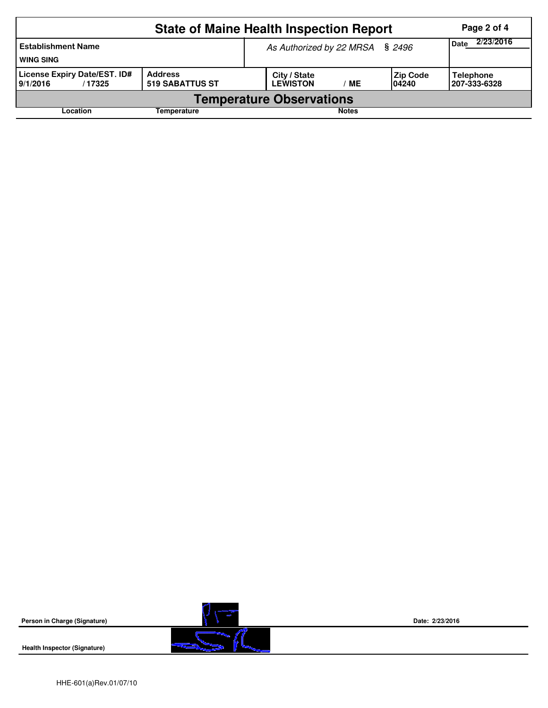|                                                    | Page 2 of 4                       |                                                                    |                                  |  |  |  |  |  |
|----------------------------------------------------|-----------------------------------|--------------------------------------------------------------------|----------------------------------|--|--|--|--|--|
| <b>Establishment Name</b><br><b>WING SING</b>      |                                   | As Authorized by 22 MRSA § 2496                                    | 2/23/2016<br><b>Date</b>         |  |  |  |  |  |
| License Expiry Date/EST. ID#<br>9/1/2016<br>/17325 | <b>Address</b><br>519 SABATTUS ST | City / State<br><b>Zip Code</b><br><b>LEWISTON</b><br>ME<br>104240 | <b>Telephone</b><br>207-333-6328 |  |  |  |  |  |
| <b>Temperature Observations</b>                    |                                   |                                                                    |                                  |  |  |  |  |  |
| Location                                           | Temperature                       | <b>Notes</b>                                                       |                                  |  |  |  |  |  |



**Health Inspector (Signature)** 

**Date: 2/23/2016**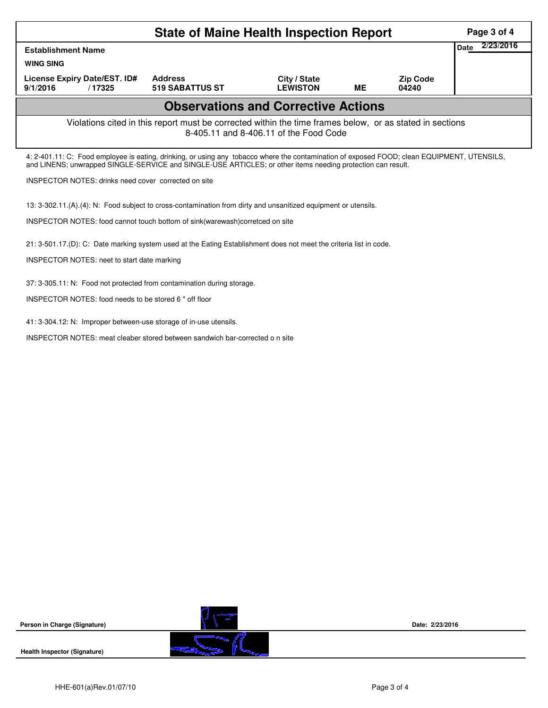|                                                                                                                                                                                                                                                            | Page 3 of 4                              |                                 |           |                          |                   |  |  |  |
|------------------------------------------------------------------------------------------------------------------------------------------------------------------------------------------------------------------------------------------------------------|------------------------------------------|---------------------------------|-----------|--------------------------|-------------------|--|--|--|
| <b>Establishment Name</b>                                                                                                                                                                                                                                  |                                          |                                 |           |                          | 2/23/2016<br>Date |  |  |  |
| <b>WING SING</b>                                                                                                                                                                                                                                           |                                          |                                 |           |                          |                   |  |  |  |
| License Expiry Date/EST. ID#<br>9/1/2016<br>/17325                                                                                                                                                                                                         | <b>Address</b><br><b>519 SABATTUS ST</b> | City / State<br><b>LEWISTON</b> | <b>ME</b> | <b>Zip Code</b><br>04240 |                   |  |  |  |
| <b>Observations and Corrective Actions</b>                                                                                                                                                                                                                 |                                          |                                 |           |                          |                   |  |  |  |
| Violations cited in this report must be corrected within the time frames below, or as stated in sections<br>8-405.11 and 8-406.11 of the Food Code                                                                                                         |                                          |                                 |           |                          |                   |  |  |  |
| 4: 2-401.11: C: Food employee is eating, drinking, or using any tobacco where the contamination of exposed FOOD; clean EQUIPMENT, UTENSILS,<br>and LINENS; unwrapped SINGLE-SERVICE and SINGLE-USE ARTICLES; or other items needing protection can result. |                                          |                                 |           |                          |                   |  |  |  |
| <b>INSPECTOR NOTES: drinks need cover corrected on site</b>                                                                                                                                                                                                |                                          |                                 |           |                          |                   |  |  |  |
| 13: 3-302.11.(A). (4): N: Food subject to cross-contamination from dirty and unsanitized equipment or utensils.                                                                                                                                            |                                          |                                 |           |                          |                   |  |  |  |
| INSPECTOR NOTES: food cannot touch bottom of sink(warewash)corretced on site                                                                                                                                                                               |                                          |                                 |           |                          |                   |  |  |  |
| 21: 3-501.17.(D): C: Date marking system used at the Eating Establishment does not meet the criteria list in code.                                                                                                                                         |                                          |                                 |           |                          |                   |  |  |  |
| <b>INSPECTOR NOTES: neet to start date marking</b>                                                                                                                                                                                                         |                                          |                                 |           |                          |                   |  |  |  |
| 37: 3-305.11: N: Food not protected from contamination during storage.                                                                                                                                                                                     |                                          |                                 |           |                          |                   |  |  |  |
| INSPECTOR NOTES: food needs to be stored 6 " off floor                                                                                                                                                                                                     |                                          |                                 |           |                          |                   |  |  |  |

41: 3-304.12: N: Improper between-use storage of in-use utensils.

INSPECTOR NOTES: meat cleaber stored between sandwich bar-corrected o n site